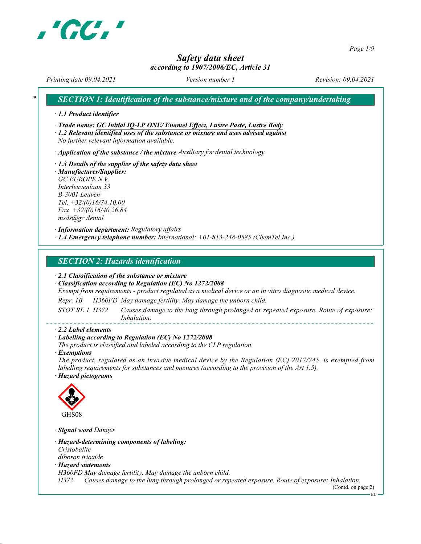

Page 1/9

# Safety data sheet according to 1907/2006/EC, Article 31

Printing date 09.04.2021 Version number 1 Revision: 09.04.2021

SECTION 1: Identification of the substance/mixture and of the company/undertaking

· 1.1 Product identifier

· Trade name: GC Initial IQ-LP ONE/ Enamel Effect, Lustre Paste, Lustre Body

· 1.2 Relevant identified uses of the substance or mixture and uses advised against No further relevant information available.

 $\cdot$  Application of the substance / the mixture Auxiliary for dental technology

· 1.3 Details of the supplier of the safety data sheet · Manufacturer/Supplier: GC EUROPE N.V. Interleuvenlaan 33 B-3001 Leuven Tel. +32/(0)16/74.10.00  $Fax +32/(0)16/40.26.84$ msds@gc.dental

· Information department: Regulatory affairs  $\cdot$  1.4 Emergency telephone number: International:  $+01-813-248-0585$  (ChemTel Inc.)

SECTION 2: Hazards identification

· 2.1 Classification of the substance or mixture

· Classification according to Regulation (EC) No 1272/2008

Exempt from requirements - product regulated as a medical device or an in vitro diagnostic medical device.

Repr. 1B H360FD May damage fertility. May damage the unborn child.

STOT RE 1 H372 Causes damage to the lung through prolonged or repeated exposure. Route of exposure: Inhalation.

#### · 2.2 Label elements

#### · Labelling according to Regulation (EC) No 1272/2008

The product is classified and labeled according to the CLP regulation.

· Exemptions

The product, regulated as an invasive medical device by the Regulation (EC) 2017/745, is exempted from labelling requirements for substances and mixtures (according to the provision of the Art 1.5). · Hazard pictograms



· Signal word Danger

· Hazard-determining components of labeling: Cristobalite diboron trioxide

· Hazard statements

H360FD May damage fertility. May damage the unborn child.

H372 Causes damage to the lung through prolonged or repeated exposure. Route of exposure: Inhalation.

(Contd. on page 2)

 $-EU$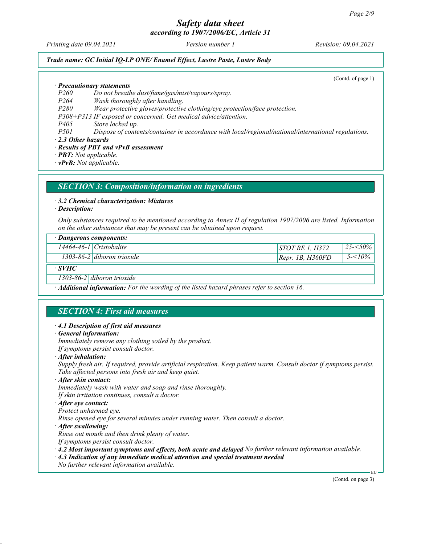Printing date 09.04.2021 **Version number 1** Revision: 09.04.2021

#### Trade name: GC Initial IQ-LP ONE/ Enamel Effect, Lustre Paste, Lustre Body

(Contd. of page 1)

· Precautionary statements

- P260 Do not breathe dust/fume/gas/mist/vapours/spray.
- P264 Wash thoroughly after handling.
- P280 Wear protective gloves/protective clothing/eye protection/face protection.

P308+P313 IF exposed or concerned: Get medical advice/attention.

P405 Store locked up.

P501 Dispose of contents/container in accordance with local/regional/national/international regulations.

· 2.3 Other hazards

#### · Results of PBT and vPvB assessment

· PBT: Not applicable.

· vPvB: Not applicable.

### SECTION 3: Composition/information on ingredients

#### · 3.2 Chemical characterization: Mixtures

· Description:

Only substances required to be mentioned according to Annex II of regulation 1907/2006 are listed. Information on the other substances that may be present can be obtained upon request.

| · Dangerous components: |                               |                    |             |  |  |  |
|-------------------------|-------------------------------|--------------------|-------------|--|--|--|
|                         | $14464 - 46 - 1$ Cristobalite | $STOTRE$ 1. H372   | $25 - 50\%$ |  |  |  |
|                         | $1303-86-2$ diboron trioxide  | [Repr. 1B, H360FD] | $5 - 10\%$  |  |  |  |

## · SVHC

1303-86-2 diboron trioxide

· Additional information: For the wording of the listed hazard phrases refer to section 16.

### SECTION 4: First aid measures

#### · 4.1 Description of first aid measures

· General information:

Immediately remove any clothing soiled by the product.

If symptoms persist consult doctor.

· After inhalation:

Supply fresh air. If required, provide artificial respiration. Keep patient warm. Consult doctor if symptoms persist. Take affected persons into fresh air and keep quiet.

· After skin contact:

Immediately wash with water and soap and rinse thoroughly. If skin irritation continues, consult a doctor.

#### · After eye contact:

Protect unharmed eye. Rinse opened eye for several minutes under running water. Then consult a doctor.

· After swallowing:

Rinse out mouth and then drink plenty of water.

If symptoms persist consult doctor.

· 4.2 Most important symptoms and effects, both acute and delayed No further relevant information available.

· 4.3 Indication of any immediate medical attention and special treatment needed No further relevant information available.

(Contd. on page 3)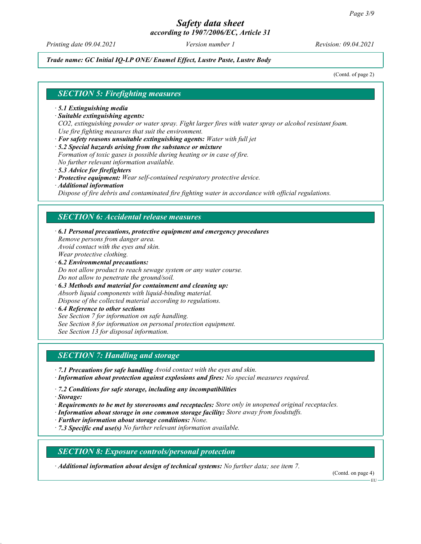Printing date 09.04.2021 **Version number 1** Revision: 09.04.2021

#### Trade name: GC Initial IQ-LP ONE/ Enamel Effect, Lustre Paste, Lustre Body

(Contd. of page 2)

#### SECTION 5: Firefighting measures

- · 5.1 Extinguishing media
- · Suitable extinguishing agents:

CO2, extinguishing powder or water spray. Fight larger fires with water spray or alcohol resistant foam. Use fire fighting measures that suit the environment.

- · For safety reasons unsuitable extinguishing agents: Water with full jet
- · 5.2 Special hazards arising from the substance or mixture
- Formation of toxic gases is possible during heating or in case of fire.

No further relevant information available. · 5.3 Advice for firefighters

- · Protective equipment: Wear self-contained respiratory protective device.
- · Additional information

Dispose of fire debris and contaminated fire fighting water in accordance with official regulations.

#### SECTION 6: Accidental release measures

- · 6.1 Personal precautions, protective equipment and emergency procedures Remove persons from danger area. Avoid contact with the eyes and skin. Wear protective clothing.
- · 6.2 Environmental precautions: Do not allow product to reach sewage system or any water course. Do not allow to penetrate the ground/soil.
- · 6.3 Methods and material for containment and cleaning up: Absorb liquid components with liquid-binding material. Dispose of the collected material according to regulations.
- · 6.4 Reference to other sections See Section 7 for information on safe handling. See Section 8 for information on personal protection equipment. See Section 13 for disposal information.

### SECTION 7: Handling and storage

- · 7.1 Precautions for safe handling Avoid contact with the eyes and skin.
- · Information about protection against explosions and fires: No special measures required.
- · 7.2 Conditions for safe storage, including any incompatibilities
- · Storage:
- · Requirements to be met by storerooms and receptacles: Store only in unopened original receptacles.
- · Information about storage in one common storage facility: Store away from foodstuffs.
- · Further information about storage conditions: None.
- $\cdot$  7.3 Specific end use(s) No further relevant information available.

#### SECTION 8: Exposure controls/personal protection

· Additional information about design of technical systems: No further data; see item 7.

(Contd. on page 4)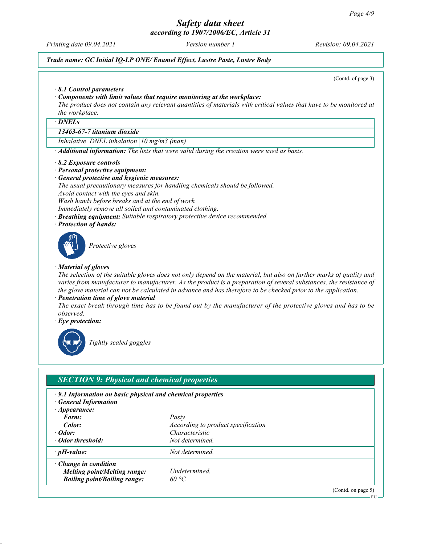Printing date 09.04.2021 **Version number 1** Revision: 09.04.2021

## Trade name: GC Initial IQ-LP ONE/ Enamel Effect, Lustre Paste, Lustre Body

(Contd. of page 3)

EU

#### · 8.1 Control parameters

#### · Components with limit values that require monitoring at the workplace:

The product does not contain any relevant quantities of materials with critical values that have to be monitored at the workplace.

· DNELs

#### 13463-67-7 titanium dioxide

Inhalative DNEL inhalation  $10$  mg/m3 (man)

· Additional information: The lists that were valid during the creation were used as basis.

#### · 8.2 Exposure controls

#### · Personal protective equipment:

General protective and hygienic measures:

The usual precautionary measures for handling chemicals should be followed.

Avoid contact with the eyes and skin.

Wash hands before breaks and at the end of work.

Immediately remove all soiled and contaminated clothing.

- · Breathing equipment: Suitable respiratory protective device recommended.
- · Protection of hands:



Protective gloves

#### · Material of gloves

The selection of the suitable gloves does not only depend on the material, but also on further marks of quality and varies from manufacturer to manufacturer. As the product is a preparation of several substances, the resistance of the glove material can not be calculated in advance and has therefore to be checked prior to the application.

Penetration time of glove material

The exact break through time has to be found out by the manufacturer of the protective gloves and has to be observed.

· Eye protection:



Tightly sealed goggles

# SECTION 9: Physical and chemical properties

· 9.1 Information on basic physical and chemical properties **General Information** · Appearance: Form: Pasty **Color:**  $\qquad \qquad$  *According to product specification* · Odor: Characteristic · Odor threshold: Not determined.  $\cdot$  pH-value:  $Not$  determined. · Change in condition Melting point/Melting range: Undetermined. Boiling point/Boiling range:  $60 °C$ (Contd. on page 5)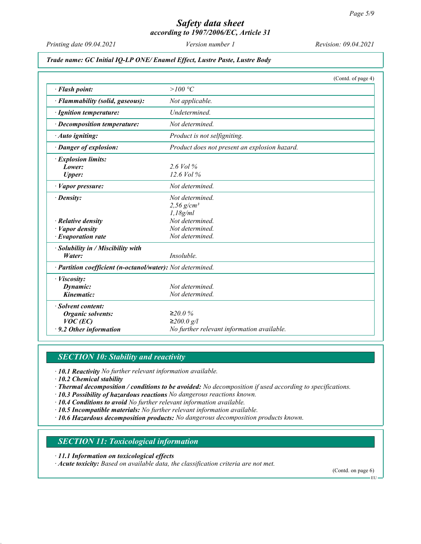# Safety data sheet

according to 1907/2006/EC, Article 31

Printing date 09.04.2021 Version number 1 Revision: 09.04.2021

#### Trade name: GC Initial IQ-LP ONE/ Enamel Effect, Lustre Paste, Lustre Body

|                                                            | (Contd. of page 4)                            |  |  |  |
|------------------------------------------------------------|-----------------------------------------------|--|--|--|
| · Flash point:                                             | > $100 °C$                                    |  |  |  |
| · Flammability (solid, gaseous):                           | Not applicable.                               |  |  |  |
| · Ignition temperature:                                    | Undetermined.                                 |  |  |  |
| · Decomposition temperature:                               | Not determined.                               |  |  |  |
| · Auto igniting:                                           | Product is not selfigniting.                  |  |  |  |
| · Danger of explosion:                                     | Product does not present an explosion hazard. |  |  |  |
| · Explosion limits:                                        |                                               |  |  |  |
| Lower:                                                     | $2.6$ Vol $\%$                                |  |  |  |
| <b>Upper:</b>                                              | $12.6$ Vol $\%$                               |  |  |  |
| · Vapor pressure:                                          | Not determined.                               |  |  |  |
| $\cdot$ Density:                                           | Not determined.                               |  |  |  |
|                                                            | 2,56 $g/cm^{3}$                               |  |  |  |
|                                                            | 1,18g/ml                                      |  |  |  |
| $\cdot$ Relative density                                   | Not determined.                               |  |  |  |
| $\cdot$ <i>Vapor density</i>                               | Not determined.                               |  |  |  |
| $\cdot$ Evaporation rate                                   | Not determined.                               |  |  |  |
| $\cdot$ Solubility in / Miscibility with                   |                                               |  |  |  |
| Water:                                                     | Insoluble.                                    |  |  |  |
| · Partition coefficient (n-octanol/water): Not determined. |                                               |  |  |  |
| · Viscosity:                                               |                                               |  |  |  |
| Dynamic:                                                   | Not determined                                |  |  |  |
| Kinematic:                                                 | Not determined.                               |  |  |  |
| · Solvent content:                                         |                                               |  |  |  |
| <b>Organic solvents:</b>                                   | $≥20.0\%$                                     |  |  |  |
| $VOC$ (EC)                                                 | ≥200.0 g/l                                    |  |  |  |
| $\cdot$ 9.2 Other information                              | No further relevant information available.    |  |  |  |

# **SECTION 10: Stability and reactivity**

· 10.1 Reactivity No further relevant information available.

· 10.2 Chemical stability

· Thermal decomposition / conditions to be avoided: No decomposition if used according to specifications.

- · 10.3 Possibility of hazardous reactions No dangerous reactions known.
- $\cdot$  10.4 Conditions to avoid No further relevant information available.

· 10.5 Incompatible materials: No further relevant information available.

· 10.6 Hazardous decomposition products: No dangerous decomposition products known.

# SECTION 11: Toxicological information

· 11.1 Information on toxicological effects

· Acute toxicity: Based on available data, the classification criteria are not met.

(Contd. on page 6)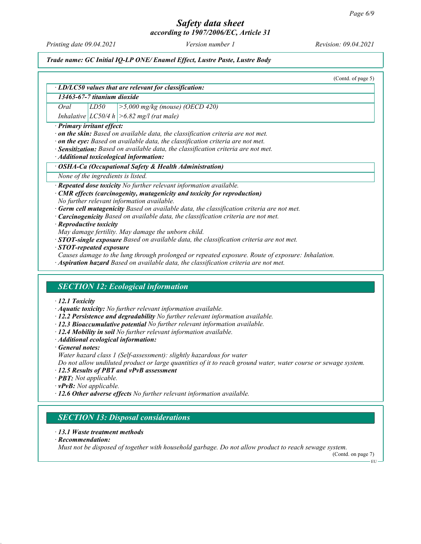# Safety data sheet

according to 1907/2006/EC, Article 31

Printing date 09.04.2021 **Version number 1** Revision: 09.04.2021

(Contd. on page 7)

EU

#### Trade name: GC Initial IQ-LP ONE/ Enamel Effect, Lustre Paste, Lustre Body

(Contd. of page 5) · LD/LC50 values that are relevant for classification: 13463-67-7 titanium dioxide Oral  $LD50$   $>5,000$  mg/kg (mouse) (OECD 420) Inhalative  $|LC50/4 h| > 6.82$  mg/l (rat male) · Primary irritant effect:  $\cdot$  on the skin: Based on available data, the classification criteria are not met.  $\cdot$  on the eye: Based on available data, the classification criteria are not met. · Sensitization: Based on available data, the classification criteria are not met. · Additional toxicological information: · OSHA-Ca (Occupational Safety & Health Administration) None of the ingredients is listed. Repeated dose toxicity No further relevant information available. CMR effects (carcinogenity, mutagenicity and toxicity for reproduction) No further relevant information available. Germ cell mutagenicity Based on available data, the classification criteria are not met. Carcinogenicity Based on available data, the classification criteria are not met. · Reproductive toxicity May damage fertility. May damage the unborn child.  $\cdot$  STOT-single exposure Based on available data, the classification criteria are not met. · STOT-repeated exposure Causes damage to the lung through prolonged or repeated exposure. Route of exposure: Inhalation. · Aspiration hazard Based on available data, the classification criteria are not met. SECTION 12: Ecological information · 12.1 Toxicity · Aquatic toxicity: No further relevant information available. · 12.2 Persistence and degradability No further relevant information available. · 12.3 Bioaccumulative potential No further relevant information available. · 12.4 Mobility in soil No further relevant information available. · Additional ecological information: · General notes: Water hazard class 1 (Self-assessment): slightly hazardous for water Do not allow undiluted product or large quantities of it to reach ground water, water course or sewage system. · 12.5 Results of PBT and vPvB assessment · PBT: Not applicable.  $\cdot$  **vPvB:** Not applicable. · 12.6 Other adverse effects No further relevant information available. SECTION 13: Disposal considerations · 13.1 Waste treatment methods · Recommendation:

Must not be disposed of together with household garbage. Do not allow product to reach sewage system.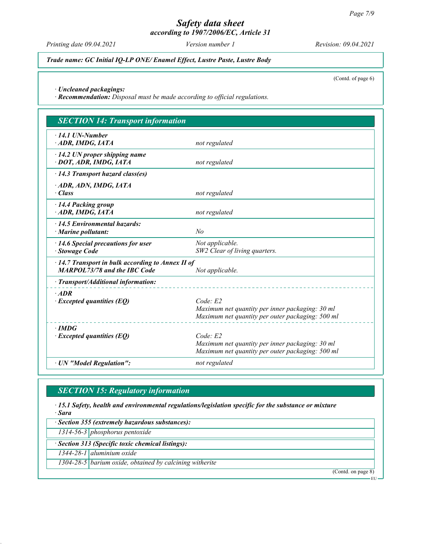Printing date 09.04.2021 Version number 1 Revision: 09.04.2021

Trade name: GC Initial IQ-LP ONE/ Enamel Effect, Lustre Paste, Lustre Body

(Contd. of page 6)

· Uncleaned packagings:

· Recommendation: Disposal must be made according to official regulations.

| <b>SECTION 14: Transport information</b>                |                                                  |  |  |  |
|---------------------------------------------------------|--------------------------------------------------|--|--|--|
| $\cdot$ 14.1 UN-Number                                  |                                                  |  |  |  |
| ADR, IMDG, IATA                                         | not regulated                                    |  |  |  |
| $\cdot$ 14.2 UN proper shipping name                    |                                                  |  |  |  |
| · DOT, ADR, IMDG, IATA                                  | not regulated                                    |  |  |  |
| $\cdot$ 14.3 Transport hazard class(es)                 |                                                  |  |  |  |
| · ADR, ADN, IMDG, IATA                                  |                                                  |  |  |  |
| $\cdot$ Class                                           | not regulated                                    |  |  |  |
| · 14.4 Packing group                                    |                                                  |  |  |  |
| ADR, IMDG, IATA                                         | not regulated                                    |  |  |  |
| $\cdot$ 14.5 Environmental hazards:                     |                                                  |  |  |  |
| $\cdot$ Marine pollutant:                               | No                                               |  |  |  |
| $\cdot$ 14.6 Special precautions for user               | Not applicable.                                  |  |  |  |
| · Stowage Code                                          | SW2 Clear of living quarters.                    |  |  |  |
| $\cdot$ 14.7 Transport in bulk according to Annex II of |                                                  |  |  |  |
| <b>MARPOL73/78 and the IBC Code</b>                     | Not applicable.                                  |  |  |  |
| · Transport/Additional information:                     |                                                  |  |  |  |
| $·$ <i>ADR</i>                                          |                                                  |  |  |  |
| $\cdot$ Excepted quantities (EQ)                        | Code E2                                          |  |  |  |
|                                                         | Maximum net quantity per inner packaging: 30 ml  |  |  |  |
|                                                         | Maximum net quantity per outer packaging: 500 ml |  |  |  |
| $\cdot$ IMDG                                            |                                                  |  |  |  |
| $\cdot$ Excepted quantities (EQ)                        | Code E2                                          |  |  |  |
|                                                         | Maximum net quantity per inner packaging: 30 ml  |  |  |  |
|                                                         | Maximum net quantity per outer packaging: 500 ml |  |  |  |
| · UN "Model Regulation":                                | not regulated                                    |  |  |  |

# **SECTION 15: Regulatory information**

· 15.1 Safety, health and environmental regulations/legislation specific for the substance or mixture · Sara

· Section 355 (extremely hazardous substances):

1314-56-3 phosphorus pentoxide

· Section 313 (Specific toxic chemical listings):

1344-28-1 aluminium oxide

1304-28-5 barium oxide, obtained by calcining witherite

(Contd. on page 8)

EU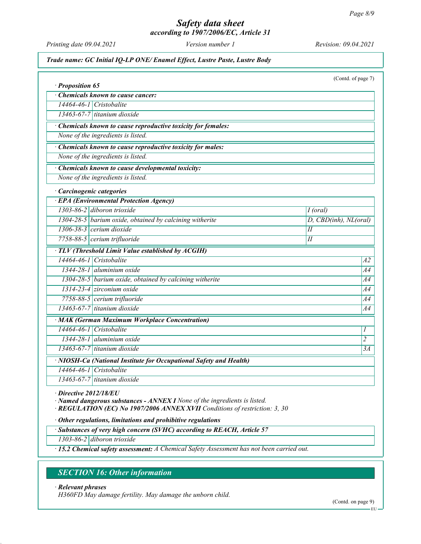Printing date 09.04.2021 Version number 1 Revision: 09.04.2021

#### Trade name: GC Initial IQ-LP ONE/ Enamel Effect, Lustre Paste, Lustre Body

| · Proposition 65                                                                                  | (Contd. of page 7)    |  |  |  |  |  |
|---------------------------------------------------------------------------------------------------|-----------------------|--|--|--|--|--|
| Chemicals known to cause cancer:                                                                  |                       |  |  |  |  |  |
| 14464-46-1 Cristobalite                                                                           |                       |  |  |  |  |  |
| $13463-67-7$ titanium dioxide                                                                     |                       |  |  |  |  |  |
|                                                                                                   |                       |  |  |  |  |  |
| Chemicals known to cause reproductive toxicity for females:<br>None of the ingredients is listed. |                       |  |  |  |  |  |
|                                                                                                   |                       |  |  |  |  |  |
| · Chemicals known to cause reproductive toxicity for males:<br>None of the ingredients is listed. |                       |  |  |  |  |  |
|                                                                                                   |                       |  |  |  |  |  |
| · Chemicals known to cause developmental toxicity:                                                |                       |  |  |  |  |  |
| None of the ingredients is listed.                                                                |                       |  |  |  |  |  |
| · Carcinogenic categories                                                                         |                       |  |  |  |  |  |
| · EPA (Environmental Protection Agency)                                                           |                       |  |  |  |  |  |
| 1303-86-2 diboron trioxide                                                                        | $I$ (oral)            |  |  |  |  |  |
| 1304-28-5 barium oxide, obtained by calcining witherite                                           | D, CBD(inh), NL(oral) |  |  |  |  |  |
| $1306-38-3$ cerium dioxide                                                                        | $\overline{H}$        |  |  |  |  |  |
| 7758-88-5 cerium trifluoride                                                                      | I                     |  |  |  |  |  |
| TLV (Threshold Limit Value established by ACGIH)                                                  |                       |  |  |  |  |  |
| $14464 - 46 - 1$ Cristobalite                                                                     | A2                    |  |  |  |  |  |
| 1344-28-1 aluminium oxide                                                                         | A4                    |  |  |  |  |  |
| $1304-28-5$ barium oxide, obtained by calcining witherite                                         | A4                    |  |  |  |  |  |
| $1314-23-4$ zirconium oxide                                                                       | A4                    |  |  |  |  |  |
| 7758-88-5 cerium trifluoride                                                                      | A4                    |  |  |  |  |  |
| 13463-67-7 titanium dioxide                                                                       | A4                    |  |  |  |  |  |
| · MAK (German Maximum Workplace Concentration)                                                    |                       |  |  |  |  |  |
| 14464-46-1 Cristobalite                                                                           | 1                     |  |  |  |  |  |
| 1344-28-1 aluminium oxide                                                                         | $\overline{2}$        |  |  |  |  |  |
| 13463-67-7 titanium dioxide                                                                       | 3A                    |  |  |  |  |  |
| · NIOSH-Ca (National Institute for Occupational Safety and Health)                                |                       |  |  |  |  |  |
| 14464-46-1 Cristobalite                                                                           |                       |  |  |  |  |  |
| 13463-67-7 titanium dioxide                                                                       |                       |  |  |  |  |  |
| <b>8018100011</b>                                                                                 |                       |  |  |  |  |  |

· Directive 2012/18/EU

· Named dangerous substances - ANNEX I None of the ingredients is listed.

· REGULATION (EC) No 1907/2006 ANNEX XVII Conditions of restriction: 3, 30

· Other regulations, limitations and prohibitive regulations

· Substances of very high concern (SVHC) according to REACH, Article 57

1303-86-2 diboron trioxide

· 15.2 Chemical safety assessment: A Chemical Safety Assessment has not been carried out.

# SECTION 16: Other information

#### · Relevant phrases

H360FD May damage fertility. May damage the unborn child.

(Contd. on page 9)

 $-EU -$